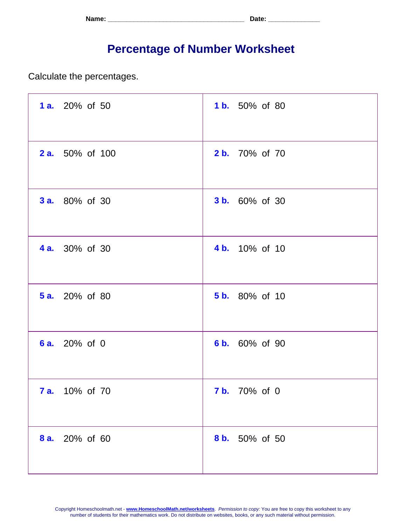| Name: | <b>. הור</b><br>. Jalu - |
|-------|--------------------------|
|-------|--------------------------|

## **Percentage of Number Worksheet**

Calculate the percentages.

| 1 a. 20% of 50         | <b>1b.</b> 50% of 80  |
|------------------------|-----------------------|
| <b>2 a.</b> 50% of 100 | <b>2 b.</b> 70% of 70 |
| <b>3 a.</b> 80% of 30  | <b>3 b.</b> 60% of 30 |
| <b>4 a.</b> 30% of 30  | 4 b. 10% of 10        |
| <b>5 a.</b> 20% of 80  | <b>5 b.</b> 80% of 10 |
| 6 a. 20% of 0          | 6 b. 60% of 90        |
| <b>7 a.</b> 10% of 70  | <b>7 b.</b> 70% of 0  |
| 8 a. 20% of 60         | 8 b. 50% of 50        |